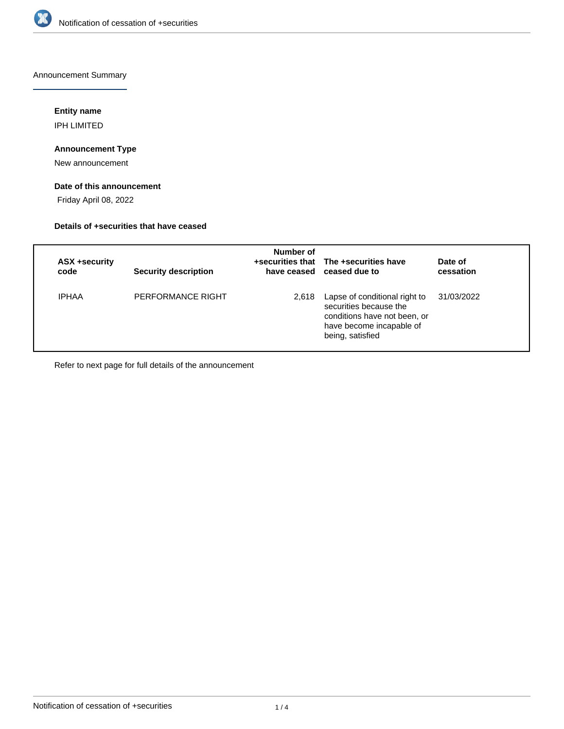

Announcement Summary

# **Entity name**

IPH LIMITED

# **Announcement Type**

New announcement

### **Date of this announcement**

Friday April 08, 2022

### **Details of +securities that have ceased**

| ASX +security<br>code | <b>Security description</b> | Number of | +securities that The +securities have<br>have ceased ceased due to                                                                      | Date of<br>cessation |
|-----------------------|-----------------------------|-----------|-----------------------------------------------------------------------------------------------------------------------------------------|----------------------|
| <b>IPHAA</b>          | PERFORMANCE RIGHT           | 2,618     | Lapse of conditional right to<br>securities because the<br>conditions have not been, or<br>have become incapable of<br>being, satisfied | 31/03/2022           |

Refer to next page for full details of the announcement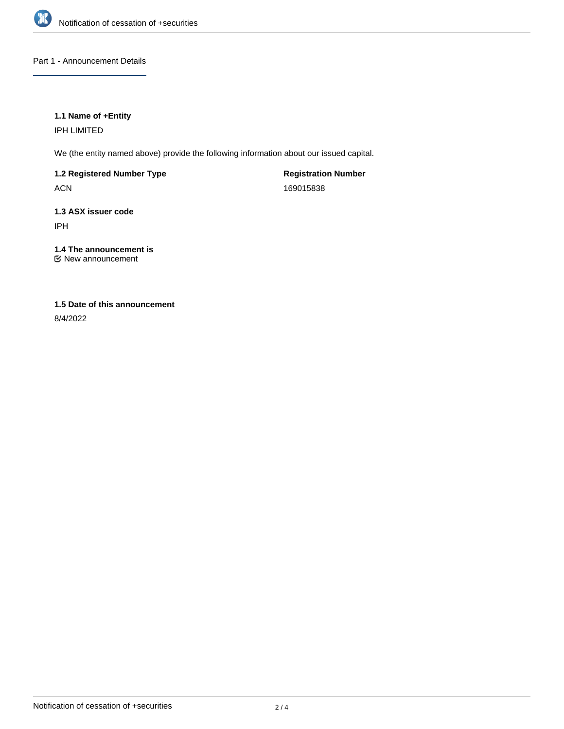

### Part 1 - Announcement Details

### **1.1 Name of +Entity**

IPH LIMITED

We (the entity named above) provide the following information about our issued capital.

**1.2 Registered Number Type**

ACN

**Registration Number** 169015838

# **1.3 ASX issuer code** IPH

# **1.4 The announcement is**

New announcement

# **1.5 Date of this announcement**

8/4/2022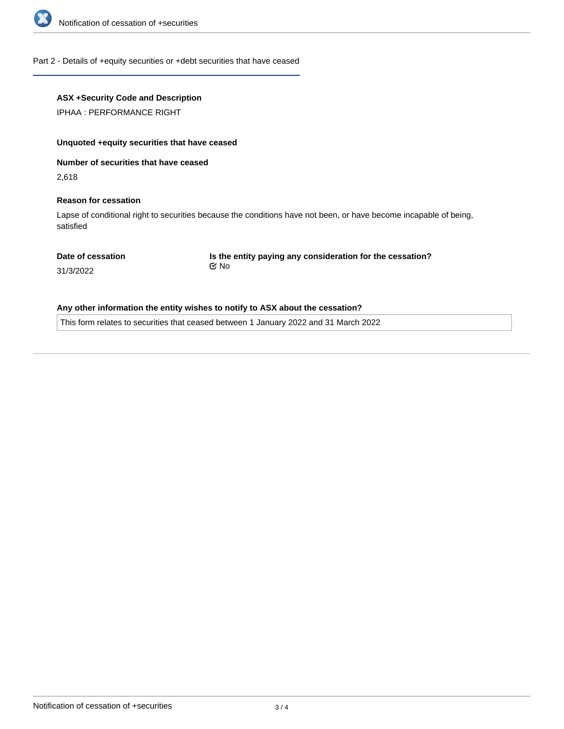

#### Part 2 - Details of +equity securities or +debt securities that have ceased

## **ASX +Security Code and Description**

IPHAA : PERFORMANCE RIGHT

#### **Unquoted +equity securities that have ceased**

**Number of securities that have ceased**

2,618

#### **Reason for cessation**

Lapse of conditional right to securities because the conditions have not been, or have become incapable of being, satisfied

#### **Date of cessation**

**Is the entity paying any consideration for the cessation?** No

31/3/2022

#### **Any other information the entity wishes to notify to ASX about the cessation?**

This form relates to securities that ceased between 1 January 2022 and 31 March 2022